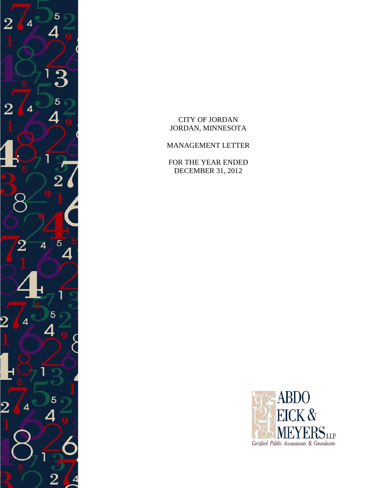

CITY OF JORDAN JORDAN, MINNESOTA

MANAGEMENT LETTER

FOR THE YEAR ENDED DECEMBER 31, 2012

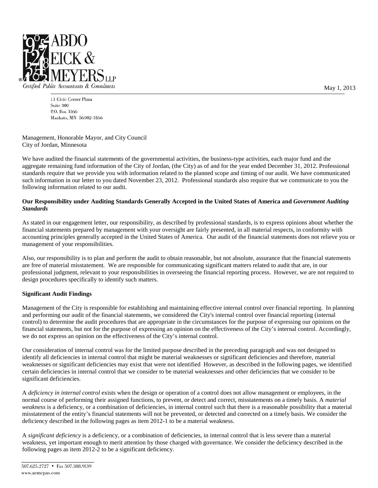

11 Civic Center Plaza Suite 300 P.O. Box 3166 Mankato, MN 56002-3166

Management, Honorable Mayor, and City Council City of Jordan, Minnesota

We have audited the financial statements of the governmental activities, the business-type activities, each major fund and the aggregate remaining fund information of the City of Jordan, (the City) as of and for the year ended December 31, 2012. Professional standards require that we provide you with information related to the planned scope and timing of our audit. We have communicated such information in our letter to you dated November 23, 2012. Professional standards also require that we communicate to you the following information related to our audit.

### **Our Responsibility under Auditing Standards Generally Accepted in the United States of America and** *Government Auditing Standards*

As stated in our engagement letter, our responsibility, as described by professional standards, is to express opinions about whether the financial statements prepared by management with your oversight are fairly presented, in all material respects, in conformity with accounting principles generally accepted in the United States of America. Our audit of the financial statements does not relieve you or management of your responsibilities.

Also, our responsibility is to plan and perform the audit to obtain reasonable, but not absolute, assurance that the financial statements are free of material misstatement. We are responsible for communicating significant matters related to audit that are, in our professional judgment, relevant to your responsibilities in overseeing the financial reporting process. However, we are not required to design procedures specifically to identify such matters.

### **Significant Audit Findings**

Management of the City is responsible for establishing and maintaining effective internal control over financial reporting. In planning and performing our audit of the financial statements, we considered the City's internal control over financial reporting (internal control) to determine the audit procedures that are appropriate in the circumstances for the purpose of expressing our opinions on the financial statements, but not for the purpose of expressing an opinion on the effectiveness of the City's internal control. Accordingly, we do not express an opinion on the effectiveness of the City's internal control.

Our consideration of internal control was for the limited purpose described in the preceding paragraph and was not designed to identify all deficiencies in internal control that might be material weaknesses or significant deficiencies and therefore, material weaknesses or significant deficiencies may exist that were not identified However, as described in the following pages, we identified certain deficiencies in internal control that we consider to be material weaknesses and other deficiencies that we consider to be significant deficiencies.

A *deficiency in internal control* exists when the design or operation of a control does not allow management or employees, in the normal course of performing their assigned functions, to prevent, or detect and correct, misstatements on a timely basis. A *material weakness* is a deficiency, or a combination of deficiencies, in internal control such that there is a reasonable possibility that a material misstatement of the entity's financial statements will not be prevented, or detected and corrected on a timely basis. We consider the deficiency described in the following pages as item 2012-1 to be a material weakness.

A *significant deficiency* is a deficiency, or a combination of deficiencies, in internal control that is less severe than a material weakness, yet important enough to merit attention by those charged with governance. We consider the deficiency described in the following pages as item 2012-2 to be a significant deficiency.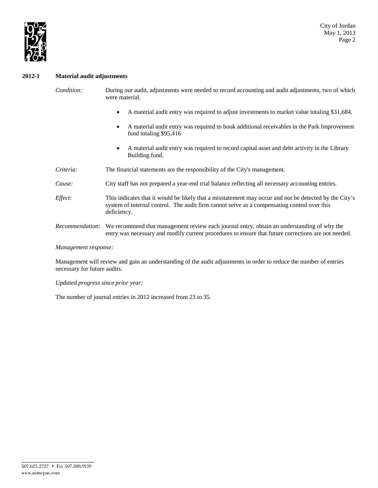

### **2012-1 Material audit adjustments**

- *Condition:* During our audit, adjustments were needed to record accounting and audit adjustments, two of which were material.
	- A material audit entry was required to adjust investments to market value totaling \$31,684.
	- A material audit entry was required to book additional receivables in the Park Improvement fund totaling \$95,416
	- A material audit entry was required to record capital asset and debt activity in the Library Building fund.
- *Criteria:* The financial statements are the responsibility of the City's management.
- *Cause:* City staff has not prepared a year-end trial balance reflecting all necessary accounting entries.
- *Effect:* This indicates that it would be likely that a misstatement may occur and not be detected by the City's system of internal control. The audit firm cannot serve as a compensating control over this deficiency.
- *Recommendation:* We recommend that management review each journal entry, obtain an understanding of why the entry was necessary and modify current procedures to ensure that future corrections are not needed.

*Management response:*

Management will review and gain an understanding of the audit adjustments in order to reduce the number of entries necessary for future audits.

*Updated progress since prior year:*

The number of journal entries in 2012 increased from 23 to 35.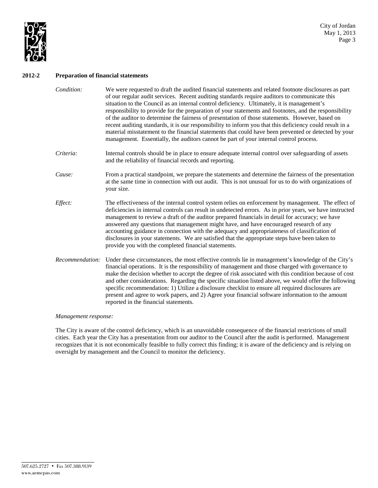

### **2012-2 Preparation of financial statements**

- *Condition:* We were requested to draft the audited financial statements and related footnote disclosures as part of our regular audit services. Recent auditing standards require auditors to communicate this situation to the Council as an internal control deficiency. Ultimately, it is management's responsibility to provide for the preparation of your statements and footnotes, and the responsibility of the auditor to determine the fairness of presentation of those statements. However, based on recent auditing standards, it is our responsibility to inform you that this deficiency could result in a material misstatement to the financial statements that could have been prevented or detected by your management. Essentially, the auditors cannot be part of your internal control process.
- *Criteria:* Internal controls should be in place to ensure adequate internal control over safeguarding of assets and the reliability of financial records and reporting.
- *Cause:* From a practical standpoint, we prepare the statements and determine the fairness of the presentation at the same time in connection with out audit. This is not unusual for us to do with organizations of your size.
- *Effect:* The effectiveness of the internal control system relies on enforcement by management. The effect of deficiencies in internal controls can result in undetected errors. As in prior years, we have instructed management to review a draft of the auditor prepared financials in detail for accuracy; we have answered any questions that management might have, and have encouraged research of any accounting guidance in connection with the adequacy and appropriateness of classification of disclosures in your statements. We are satisfied that the appropriate steps have been taken to provide you with the completed financial statements.
- *Recommendation:* Under these circumstances, the most effective controls lie in management's knowledge of the City's financial operations. It is the responsibility of management and those charged with governance to make the decision whether to accept the degree of risk associated with this condition because of cost and other considerations. Regarding the specific situation listed above, we would offer the following specific recommendation: 1) Utilize a disclosure checklist to ensure all required disclosures are present and agree to work papers, and 2) Agree your financial software information to the amount reported in the financial statements.

#### *Management response:*

The City is aware of the control deficiency, which is an unavoidable consequence of the financial restrictions of small cities. Each year the City has a presentation from our auditor to the Council after the audit is performed. Management recognizes that it is not economically feasible to fully correct this finding; it is aware of the deficiency and is relying on oversight by management and the Council to monitor the deficiency.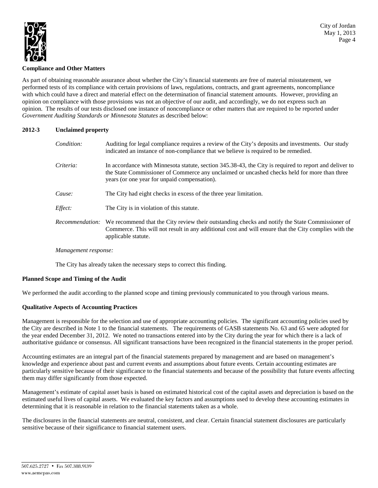

# **Compliance and Other Matters**

As part of obtaining reasonable assurance about whether the City's financial statements are free of material misstatement, we performed tests of its compliance with certain provisions of laws, regulations, contracts, and grant agreements, noncompliance with which could have a direct and material effect on the determination of financial statement amounts. However, providing an opinion on compliance with those provisions was not an objective of our audit, and accordingly, we do not express such an opinion. The results of our tests disclosed one instance of noncompliance or other matters that are required to be reported under *Government Auditing Standards or Minnesota Statutes* as described below:

### **2012-3 Unclaimed property**

| Condition: | Auditing for legal compliance requires a review of the City's deposits and investments. Our study<br>indicated an instance of non-compliance that we believe is required to be remedied.                                                               |
|------------|--------------------------------------------------------------------------------------------------------------------------------------------------------------------------------------------------------------------------------------------------------|
| Criteria:  | In accordance with Minnesota statute, section 345.38-43, the City is required to report and deliver to<br>the State Commissioner of Commerce any unclaimed or uncashed checks held for more than three<br>years (or one year for unpaid compensation). |
| Cause:     | The City had eight checks in excess of the three year limitation.                                                                                                                                                                                      |
| Effect:    | The City is in violation of this statute.                                                                                                                                                                                                              |
|            | Recommendation: We recommend that the City review their outstanding checks and notify the State Commissioner of<br>Commerce. This will not result in any additional cost and will ensure that the City complies with the<br>applicable statute.        |

### *Management response:*

The City has already taken the necessary steps to correct this finding.

### **Planned Scope and Timing of the Audit**

We performed the audit according to the planned scope and timing previously communicated to you through various means.

### **Qualitative Aspects of Accounting Practices**

Management is responsible for the selection and use of appropriate accounting policies. The significant accounting policies used by the City are described in Note 1 to the financial statements. The requirements of GASB statements No. 63 and 65 were adopted for the year ended December 31, 2012. We noted no transactions entered into by the City during the year for which there is a lack of authoritative guidance or consensus. All significant transactions have been recognized in the financial statements in the proper period.

Accounting estimates are an integral part of the financial statements prepared by management and are based on management's knowledge and experience about past and current events and assumptions about future events. Certain accounting estimates are particularly sensitive because of their significance to the financial statements and because of the possibility that future events affecting them may differ significantly from those expected.

Management's estimate of capital asset basis is based on estimated historical cost of the capital assets and depreciation is based on the estimated useful lives of capital assets. We evaluated the key factors and assumptions used to develop these accounting estimates in determining that it is reasonable in relation to the financial statements taken as a whole.

The disclosures in the financial statements are neutral, consistent, and clear. Certain financial statement disclosures are particularly sensitive because of their significance to financial statement users.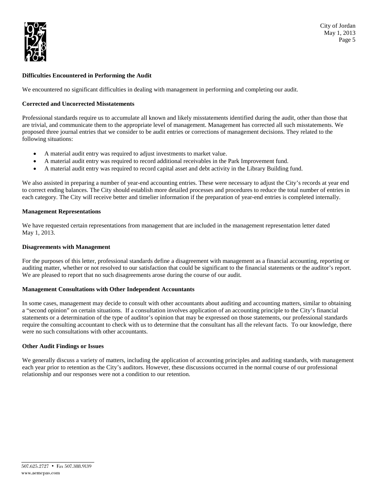

### **Difficulties Encountered in Performing the Audit**

We encountered no significant difficulties in dealing with management in performing and completing our audit.

### **Corrected and Uncorrected Misstatements**

Professional standards require us to accumulate all known and likely misstatements identified during the audit, other than those that are trivial, and communicate them to the appropriate level of management. Management has corrected all such misstatements. We proposed three journal entries that we consider to be audit entries or corrections of management decisions. They related to the following situations:

- A material audit entry was required to adjust investments to market value.
- A material audit entry was required to record additional receivables in the Park Improvement fund.
- A material audit entry was required to record capital asset and debt activity in the Library Building fund.

We also assisted in preparing a number of year-end accounting entries. These were necessary to adjust the City's records at year end to correct ending balances. The City should establish more detailed processes and procedures to reduce the total number of entries in each category. The City will receive better and timelier information if the preparation of year-end entries is completed internally.

### **Management Representations**

We have requested certain representations from management that are included in the management representation letter dated May 1, 2013.

### **Disagreements with Management**

For the purposes of this letter, professional standards define a disagreement with management as a financial accounting, reporting or auditing matter, whether or not resolved to our satisfaction that could be significant to the financial statements or the auditor's report. We are pleased to report that no such disagreements arose during the course of our audit.

#### **Management Consultations with Other Independent Accountants**

In some cases, management may decide to consult with other accountants about auditing and accounting matters, similar to obtaining a "second opinion" on certain situations. If a consultation involves application of an accounting principle to the City's financial statements or a determination of the type of auditor's opinion that may be expressed on those statements, our professional standards require the consulting accountant to check with us to determine that the consultant has all the relevant facts. To our knowledge, there were no such consultations with other accountants.

### **Other Audit Findings or Issues**

We generally discuss a variety of matters, including the application of accounting principles and auditing standards, with management each year prior to retention as the City's auditors. However, these discussions occurred in the normal course of our professional relationship and our responses were not a condition to our retention.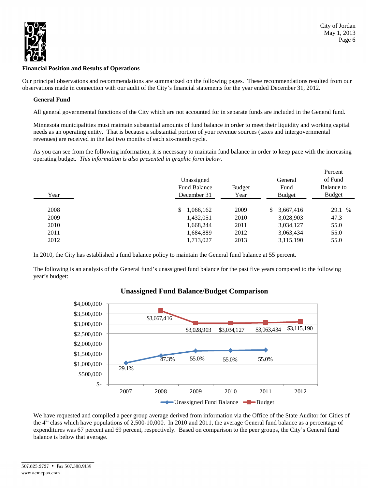

### **Financial Position and Results of Operations**

Our principal observations and recommendations are summarized on the following pages. These recommendations resulted from our observations made in connection with our audit of the City's financial statements for the year ended December 31, 2012.

# **General Fund**

All general governmental functions of the City which are not accounted for in separate funds are included in the General fund.

Minnesota municipalities must maintain substantial amounts of fund balance in order to meet their liquidity and working capital needs as an operating entity. That is because a substantial portion of your revenue sources (taxes and intergovernmental revenues) are received in the last two months of each six-month cycle.

As you can see from the following information, it is necessary to maintain fund balance in order to keep pace with the increasing operating budget. *This information is also presented in graphic form below*.

|      | Unassigned                         |                | General         | Percent<br>of Fund          |
|------|------------------------------------|----------------|-----------------|-----------------------------|
| Year | <b>Fund Balance</b><br>December 31 | Budget<br>Year | Fund<br>Budget  | Balance to<br><b>Budget</b> |
| 2008 | 1,066,162<br>S.                    | 2009           | 3,667,416<br>S. | 29.1 %                      |
| 2009 | 1,432,051                          | 2010           | 3,028,903       | 47.3                        |
| 2010 | 1,668,244                          | 2011           | 3,034,127       | 55.0                        |
| 2011 | 1,684,889                          | 2012           | 3,063,434       | 55.0                        |
| 2012 | 1,713,027                          | 2013           | 3,115,190       | 55.0                        |

In 2010, the City has established a fund balance policy to maintain the General fund balance at 55 percent.

The following is an analysis of the General fund's unassigned fund balance for the past five years compared to the following year's budget:



# **Unassigned Fund Balance/Budget Comparison**

We have requested and compiled a peer group average derived from information via the Office of the State Auditor for Cities of the  $4<sup>th</sup>$  class which have populations of 2,500-10,000. In 2010 and 2011, the average General fund balance as a percentage of expenditures was 67 percent and 69 percent, respectively. Based on comparison to the peer groups, the City's General fund balance is below that average.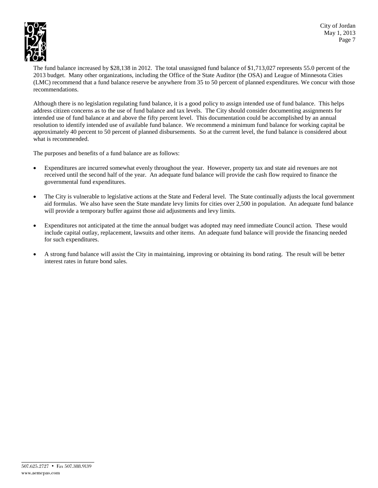



The fund balance increased by \$28,138 in 2012. The total unassigned fund balance of \$1,713,027 represents 55.0 percent of the 2013 budget. Many other organizations, including the Office of the State Auditor (the OSA) and League of Minnesota Cities (LMC) recommend that a fund balance reserve be anywhere from 35 to 50 percent of planned expenditures. We concur with those recommendations.

Although there is no legislation regulating fund balance, it is a good policy to assign intended use of fund balance. This helps address citizen concerns as to the use of fund balance and tax levels. The City should consider documenting assignments for intended use of fund balance at and above the fifty percent level. This documentation could be accomplished by an annual resolution to identify intended use of available fund balance. We recommend a minimum fund balance for working capital be approximately 40 percent to 50 percent of planned disbursements. So at the current level, the fund balance is considered about what is recommended.

The purposes and benefits of a fund balance are as follows:

- Expenditures are incurred somewhat evenly throughout the year. However, property tax and state aid revenues are not received until the second half of the year. An adequate fund balance will provide the cash flow required to finance the governmental fund expenditures.
- The City is vulnerable to legislative actions at the State and Federal level. The State continually adjusts the local government aid formulas. We also have seen the State mandate levy limits for cities over 2,500 in population. An adequate fund balance will provide a temporary buffer against those aid adjustments and levy limits.
- Expenditures not anticipated at the time the annual budget was adopted may need immediate Council action. These would include capital outlay, replacement, lawsuits and other items. An adequate fund balance will provide the financing needed for such expenditures.
- A strong fund balance will assist the City in maintaining, improving or obtaining its bond rating. The result will be better interest rates in future bond sales.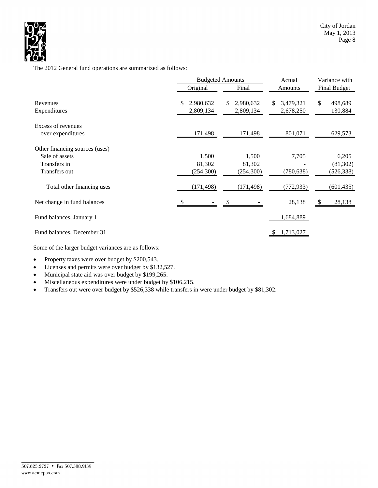

The 2012 General fund operations are summarized as follows:

|                                                                                   |                               | <b>Budgeted Amounts</b>       | Actual                       | Variance with                    |  |  |
|-----------------------------------------------------------------------------------|-------------------------------|-------------------------------|------------------------------|----------------------------------|--|--|
|                                                                                   | Original<br>Final             |                               | Amounts                      | <b>Final Budget</b>              |  |  |
| Revenues<br>Expenditures                                                          | \$<br>2,980,632<br>2,809,134  | 2,980,632<br>\$.<br>2,809,134 | 3,479,321<br>S.<br>2,678,250 | \$<br>498,689<br>130,884         |  |  |
| Excess of revenues<br>over expenditures                                           | 171,498                       | 171,498                       | 801,071                      | 629,573                          |  |  |
| Other financing sources (uses)<br>Sale of assets<br>Transfers in<br>Transfers out | 1,500<br>81,302<br>(254, 300) | 1,500<br>81,302<br>(254,300)  | 7,705<br>(780, 638)          | 6,205<br>(81, 302)<br>(526, 338) |  |  |
| Total other financing uses                                                        | (171, 498)                    | (171, 498)                    | (772, 933)                   | (601, 435)                       |  |  |
| Net change in fund balances                                                       |                               |                               | 28,138                       | 28,138<br>- S                    |  |  |
| Fund balances, January 1                                                          |                               |                               | 1,684,889                    |                                  |  |  |
| Fund balances, December 31                                                        |                               |                               | 1,713,027                    |                                  |  |  |

Some of the larger budget variances are as follows:

• Property taxes were over budget by \$200,543.

• Licenses and permits were over budget by \$132,527.

- Municipal state aid was over budget by \$199,265.
- Miscellaneous expenditures were under budget by \$106,215.
- Transfers out were over budget by \$526,338 while transfers in were under budget by \$81,302.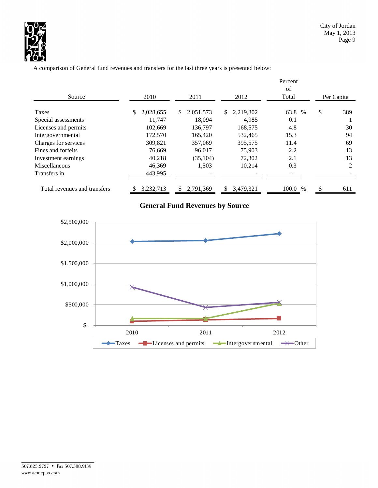

A comparison of General fund revenues and transfers for the last three years is presented below:

|                              |                 |                 |                  | Percent       |            |     |
|------------------------------|-----------------|-----------------|------------------|---------------|------------|-----|
| Source                       | 2010            | 2011            | 2012             | of<br>Total   | Per Capita |     |
| Taxes                        | 2,028,655<br>\$ | 2,051,573<br>S. | 2,219,302<br>\$. | 63.8 %        | \$         | 389 |
| Special assessments          | 11.747          | 18.094          | 4,985            | 0.1           |            |     |
| Licenses and permits         | 102,669         | 136,797         | 168,575          | 4.8           |            | 30  |
| Intergovernmental            | 172,570         | 165.420         | 532.465          | 15.3          |            | 94  |
| Charges for services         | 309.821         | 357,069         | 395,575          | 11.4          |            | 69  |
| Fines and forfeits           | 76.669          | 96.017          | 75,903           | 2.2           |            | 13  |
| Investment earnings          | 40,218          | (35, 104)       | 72,302           | 2.1           |            | 13  |
| Miscellaneous                | 46,369          | 1,503           | 10,214           | 0.3           |            | 2   |
| Transfers in                 | 443,995         |                 |                  |               |            |     |
| Total revenues and transfers | 3,232,713       | 2.791.369       | 3,479,321<br>\$. | 100.0<br>$\%$ | S          | 611 |

# **General Fund Revenues by Source**

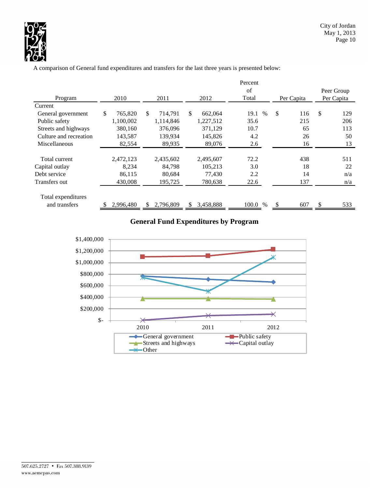

A comparison of General fund expenditures and transfers for the last three years is presented below:

|                        |               |                 |                 | Percent               |            |            |
|------------------------|---------------|-----------------|-----------------|-----------------------|------------|------------|
|                        |               |                 |                 | of                    |            | Peer Group |
| Program                | 2010          | 2011            | 2012            | Total                 | Per Capita | Per Capita |
| Current                |               |                 |                 |                       |            |            |
| General government     | \$<br>765,820 | \$<br>714,791   | \$<br>662,064   | $\frac{0}{0}$<br>19.1 | \$<br>116  | \$<br>129  |
| Public safety          | 1,100,002     | 1,114,846       | 1,227,512       | 35.6                  | 215        | 206        |
| Streets and highways   | 380,160       | 376,096         | 371,129         | 10.7                  | 65         | 113        |
| Culture and recreation | 143,587       | 139.934         | 145,826         | 4.2                   | 26         | 50         |
| Miscellaneous          | 82,554        | 89,935          | 89,076          | 2.6                   | 16         | 13         |
|                        |               |                 |                 |                       |            |            |
| Total current          | 2,472,123     | 2,435,602       | 2,495,607       | 72.2                  | 438        | 511        |
| Capital outlay         | 8,234         | 84,798          | 105,213         | 3.0                   | 18         | 22         |
| Debt service           | 86,115        | 80.684          | 77.430          | 2.2                   | 14         | n/a        |
| Transfers out          | 430,008       | 195,725         | 780,638         | 22.6                  | 137        | n/a        |
| Total expenditures     |               |                 |                 |                       |            |            |
| and transfers          | 2,996,480     | S.<br>2,796,809 | \$<br>3,458,888 | 100.0 %               | 607        | \$<br>533  |

# **General Fund Expenditures by Program**

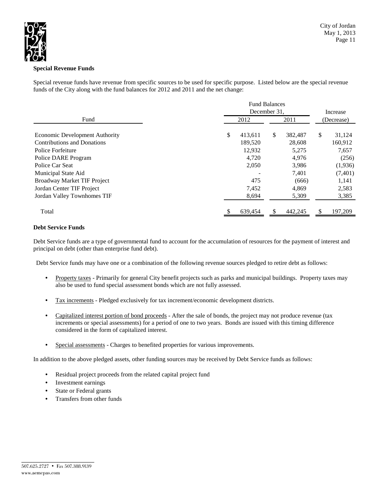

# **Special Revenue Funds**

Special revenue funds have revenue from specific sources to be used for specific purpose. Listed below are the special revenue funds of the City along with the fund balances for 2012 and 2011 and the net change:

|                                       | <b>Fund Balances</b> |               |              |
|---------------------------------------|----------------------|---------------|--------------|
|                                       | December 31.         | Increase      |              |
| Fund                                  | 2012                 | 2011          | (Decrease)   |
| <b>Economic Development Authority</b> | \$<br>413,611        | \$<br>382,487 | \$<br>31,124 |
| <b>Contributions and Donations</b>    | 189,520              | 28,608        | 160,912      |
| Police Forfeiture                     | 12,932               | 5,275         | 7,657        |
| Police DARE Program                   | 4,720                | 4,976         | (256)        |
| Police Car Seat                       | 2,050                | 3,986         | (1,936)      |
| Municipal State Aid                   |                      | 7,401         | (7, 401)     |
| Broadway Market TIF Project           | 475                  | (666)         | 1,141        |
| Jordan Center TIF Project             | 7,452                | 4,869         | 2,583        |
| Jordan Valley Townhomes TIF           | 8,694                | 5,309         | 3,385        |
| Total                                 | 639,454              | 442,245       | 197,209      |

### **Debt Service Funds**

Debt Service funds are a type of governmental fund to account for the accumulation of resources for the payment of interest and principal on debt (other than enterprise fund debt).

Debt Service funds may have one or a combination of the following revenue sources pledged to retire debt as follows:

- Property taxes Primarily for general City benefit projects such as parks and municipal buildings. Property taxes may also be used to fund special assessment bonds which are not fully assessed.
- Tax increments Pledged exclusively for tax increment/economic development districts.
- Capitalized interest portion of bond proceeds After the sale of bonds, the project may not produce revenue (tax increments or special assessments) for a period of one to two years. Bonds are issued with this timing difference considered in the form of capitalized interest.
- Special assessments Charges to benefited properties for various improvements.

In addition to the above pledged assets, other funding sources may be received by Debt Service funds as follows:

- Residual project proceeds from the related capital project fund
- Investment earnings
- State or Federal grants
- Transfers from other funds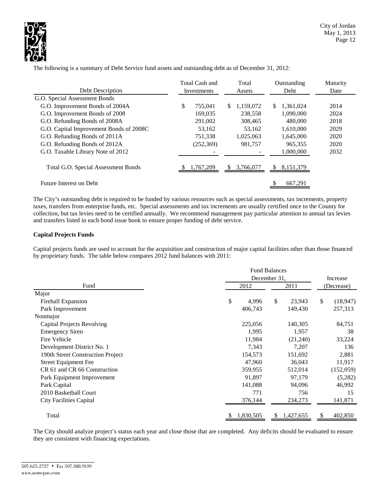

|                                         |    | Total Cash and |     | Total     |     | Outstanding | Maturity |        |      |  |      |
|-----------------------------------------|----|----------------|-----|-----------|-----|-------------|----------|--------|------|--|------|
| Debt Description                        |    | Investments    |     |           |     |             |          | Assets | Debt |  | Date |
| G.O. Special Assessment Bonds           |    |                |     |           |     |             |          |        |      |  |      |
| G.O. Improvement Bonds of 2004A         | \$ | 755,041        | \$. | 1,159,072 | \$  | 1,361,024   | 2014     |        |      |  |      |
| G.O. Improvement Bonds of 2008          |    | 169,035        |     | 238,558   |     | 1,090,000   | 2024     |        |      |  |      |
| G.O. Refunding Bonds of 2008A           |    | 291,002        |     | 308,465   |     | 480,000     | 2018     |        |      |  |      |
| G.O. Capital Improvement Bonds of 2008C |    | 53,162         |     | 53.162    |     | 1,610,000   | 2029     |        |      |  |      |
| G.O. Refunding Bonds of 2011A           |    | 751,338        |     | 1,025,063 |     | 1,645,000   | 2020     |        |      |  |      |
| G.O. Refunding Bonds of 2012A           |    | (252, 369)     |     | 981,757   |     | 965.355     | 2020     |        |      |  |      |
| G.O. Taxable Library Note of 2012       |    |                |     |           |     | 1,000,000   | 2032     |        |      |  |      |
| Total G.O. Special Assessment Bonds     |    | 1,767,209      | S.  | 3,766,077 | \$. | 8, 151, 379 |          |        |      |  |      |
| Future Interest on Debt                 |    |                |     |           |     | 667,291     |          |        |      |  |      |

The following is a summary of Debt Service fund assets and outstanding debt as of December 31, 2012:

The City's outstanding debt is required to be funded by various resources such as special assessments, tax increments, property taxes, transfers from enterprise funds, etc. Special assessments and tax increments are usually certified once to the County for collection, but tax levies need to be certified annually. We recommend management pay particular attention to annual tax levies and transfers listed in each bond issue book to ensure proper funding of debt service.

### **Capital Projects Funds**

Capital projects funds are used to account for the acquisition and construction of major capital facilities other than those financed by proprietary funds. The table below compares 2012 fund balances with 2011:

|                                   |              | <b>Fund Balances</b> |                 |  |  |  |  |
|-----------------------------------|--------------|----------------------|-----------------|--|--|--|--|
|                                   | December 31, | Increase             |                 |  |  |  |  |
| Fund                              | 2012         | 2011                 | (Decrease)      |  |  |  |  |
| Major                             |              |                      |                 |  |  |  |  |
| <b>Firehall Expansion</b>         | \$<br>4,996  | \$<br>23,943         | \$<br>(18, 947) |  |  |  |  |
| Park Improvement                  | 406,743      | 149,430              | 257,313         |  |  |  |  |
| Nonmajor                          |              |                      |                 |  |  |  |  |
| Capital Projects Revolving        | 225,056      | 140,305              | 84,751          |  |  |  |  |
| <b>Emergency Siren</b>            | 1,995        | 1,957                | 38              |  |  |  |  |
| Fire Vehicle                      | 11,984       | (21,240)             | 33,224          |  |  |  |  |
| Development District No. 1        | 7,343        | 7,207                | 136             |  |  |  |  |
| 190th Street Construction Project | 154,573      | 151,692              | 2,881           |  |  |  |  |
| <b>Street Equipment Fee</b>       | 47,960       | 36,043               | 11,917          |  |  |  |  |
| CR 61 and CR 66 Construction      | 359,955      | 512,014              | (152, 059)      |  |  |  |  |
| Park Equipment Improvement        | 91,897       | 97,179               | (5,282)         |  |  |  |  |
| Park Capital                      | 141,088      | 94,096               | 46,992          |  |  |  |  |
| 2010 Basketball Court             | 771          | 756                  | 15              |  |  |  |  |
| <b>City Facilities Capital</b>    | 376,144      | 234,273              | 141,871         |  |  |  |  |
| Total                             | 1,830,505    | 1,427,655<br>\$.     | 402,850<br>S    |  |  |  |  |

The City should analyze project's status each year and close those that are completed. Any deficits should be evaluated to ensure they are consistent with financing expectations.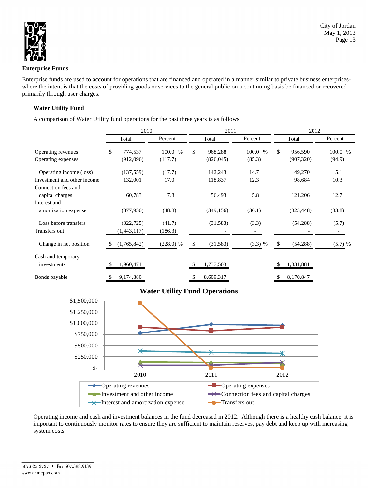

### **Enterprise Funds**

Enterprise funds are used to account for operations that are financed and operated in a manner similar to private business enterpriseswhere the intent is that the costs of providing goods or services to the general public on a continuing basis be financed or recovered primarily through user charges.

# **Water Utility Fund**

A comparison of Water Utility fund operations for the past three years is as follows:

|                                        | 2010             |             | 2011          |         | 2012           |           |  |  |
|----------------------------------------|------------------|-------------|---------------|---------|----------------|-----------|--|--|
|                                        | Percent<br>Total |             | Total         | Percent | Total          | Percent   |  |  |
| Operating revenues                     | \$<br>774,537    | 100.0 %     | \$<br>968,288 | 100.0 % | \$.<br>956,590 | 100.0 %   |  |  |
| Operating expenses                     | (912,096)        | (117.7)     | (826, 045)    | (85.3)  | (907, 320)     | (94.9)    |  |  |
| Operating income (loss)                | (137, 559)       | (17.7)      | 142,243       | 14.7    | 49,270         | 5.1       |  |  |
| Investment and other income            | 132,001          | 17.0        | 118,837       | 12.3    | 98,684         | 10.3      |  |  |
| Connection fees and<br>capital charges | 60,783           | 7.8         | 56,493        | 5.8     | 121,206        | 12.7      |  |  |
| Interest and                           |                  |             |               |         |                |           |  |  |
| amortization expense                   | (377,950)        | (48.8)      | (349, 156)    | (36.1)  | (323, 448)     | (33.8)    |  |  |
| Loss before transfers                  | (322, 725)       | (41.7)      | (31, 583)     | (3.3)   | (54, 288)      | (5.7)     |  |  |
| Transfers out                          | (1,443,117)      | (186.3)     |               |         |                |           |  |  |
| Change in net position                 | (1,765,842)      | $(228.0)$ % | (31, 583)     | (3.3) % | (54, 288)      | $(5.7)$ % |  |  |
| Cash and temporary                     |                  |             |               |         |                |           |  |  |
| investments                            | 1,960,471        |             | 1,737,503     |         | 1,331,881      |           |  |  |
| Bonds payable                          | 9,174,880        |             | 8,609,317     |         | 8,170,847      |           |  |  |

# **Water Utility Fund Operations**



Operating income and cash and investment balances in the fund decreased in 2012. Although there is a healthy cash balance, it is important to continuously monitor rates to ensure they are sufficient to maintain reserves, pay debt and keep up with increasing system costs.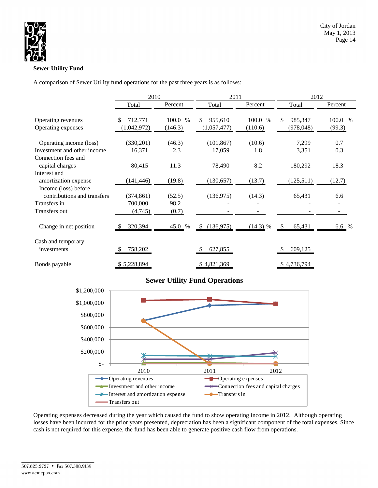

# **Sewer Utility Fund**

A comparison of Sewer Utility fund operations for the past three years is as follows:

|                                        | 2010           |         | 2011            |            | 2012          |         |  |  |
|----------------------------------------|----------------|---------|-----------------|------------|---------------|---------|--|--|
|                                        | Total          | Percent | Total           | Percent    | Total         | Percent |  |  |
| Operating revenues                     | \$.<br>712,771 | 100.0 % | \$<br>955,610   | 100.0 %    | \$<br>985,347 | 100.0 % |  |  |
| Operating expenses                     | (1,042,972)    | (146.3) | (1,057,477)     | (110.6)    | (978, 048)    | (99.3)  |  |  |
| Operating income (loss)                | (330,201)      | (46.3)  | (101, 867)      | (10.6)     | 7,299         | 0.7     |  |  |
| Investment and other income            | 16,371         | 2.3     | 17,059          | 1.8        | 3,351         | 0.3     |  |  |
| Connection fees and<br>capital charges | 80,415         | 11.3    | 78,490          | 8.2        | 180,292       | 18.3    |  |  |
| Interest and                           |                |         |                 |            |               |         |  |  |
| amortization expense                   | (141, 446)     | (19.8)  | (130, 657)      | (13.7)     | (125,511)     | (12.7)  |  |  |
| Income (loss) before                   |                |         |                 |            |               |         |  |  |
| contributions and transfers            | (374, 861)     | (52.5)  | (136,975)       | (14.3)     | 65,431        | 6.6     |  |  |
| Transfers in                           | 700,000        | 98.2    |                 |            |               |         |  |  |
| Transfers out                          | (4,745)        | (0.7)   |                 |            |               |         |  |  |
| Change in net position                 | 320,394        | 45.0 %  | (136,975)<br>\$ | $(14.3)$ % | 65,431<br>S   | 6.6 %   |  |  |
| Cash and temporary                     |                |         |                 |            |               |         |  |  |
| investments                            | 758,202        |         | 627,855         |            | 609,125       |         |  |  |
| Bonds payable                          | \$5,228,894    |         | \$4,821,369     |            | \$4,736,794   |         |  |  |

# **Sewer Utility Fund Operations**



Operating expenses decreased during the year which caused the fund to show operating income in 2012. Although operating losses have been incurred for the prior years presented, depreciation has been a significant component of the total expenses. Since cash is not required for this expense, the fund has been able to generate positive cash flow from operations.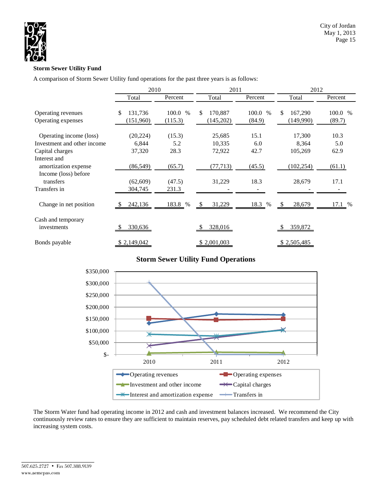

# **Storm Sewer Utility Fund**

A comparison of Storm Sewer Utility fund operations for the past three years is as follows:

|                                      | 2010          |               | 2011           |         | 2012          |         |  |  |
|--------------------------------------|---------------|---------------|----------------|---------|---------------|---------|--|--|
|                                      | Total         | Percent       | Total          | Percent | Total         | Percent |  |  |
| Operating revenues                   | \$<br>131,736 | 100.0<br>$\%$ | 170,887<br>\$. | 100.0 % | \$<br>167,290 | 100.0 % |  |  |
| Operating expenses                   | (151,960)     | (115.3)       | (145,202)      | (84.9)  | (149,990)     | (89.7)  |  |  |
| Operating income (loss)              | (20, 224)     | (15.3)        | 25,685         | 15.1    | 17,300        | 10.3    |  |  |
| Investment and other income          | 6,844         | 5.2           | 10,335         | 6.0     | 8,364         | 5.0     |  |  |
| Capital charges                      | 37,320        | 28.3          | 72,922         | 42.7    | 105,269       | 62.9    |  |  |
| Interest and<br>amortization expense | (86, 549)     | (65.7)        | (77, 713)      | (45.5)  | (102, 254)    | (61.1)  |  |  |
| Income (loss) before<br>transfers    | (62, 609)     | (47.5)        | 31,229         | 18.3    | 28,679        | 17.1    |  |  |
| Transfers in                         | 304,745       | 231.3         |                |         |               |         |  |  |
| Change in net position               | 242,136       | 183.8 %       | 31,229<br>- \$ | 18.3 %  | 28,679        | 17.1 %  |  |  |
| Cash and temporary<br>investments    | 330,636       |               | 328,016        |         | 359,872       |         |  |  |
| Bonds payable                        | \$2,149,042   |               | \$2,001,003    |         | \$2,505,485   |         |  |  |

# **Storm Sewer Utility Fund Operations**



The Storm Water fund had operating income in 2012 and cash and investment balances increased. We recommend the City continuously review rates to ensure they are sufficient to maintain reserves, pay scheduled debt related transfers and keep up with increasing system costs.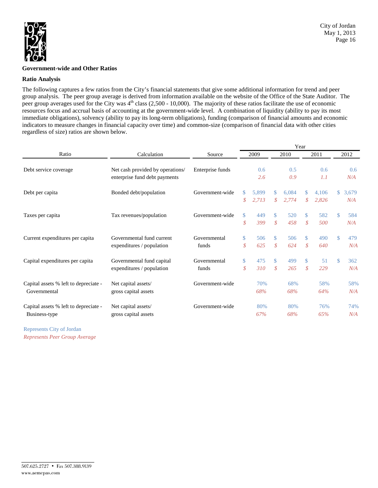

### **Government-wide and Other Ratios**

### **Ratio Analysis**

The following captures a few ratios from the City's financial statements that give some additional information for trend and peer group analysis. The peer group average is derived from information available on the website of the Office of the State Auditor. The peer group averages used for the City was  $4<sup>th</sup>$  class (2,500 - 10,000). The majority of these ratios facilitate the use of economic resources focus and accrual basis of accounting at the government-wide level. A combination of liquidity (ability to pay its most immediate obligations), solvency (ability to pay its long-term obligations), funding (comparison of financial amounts and economic indicators to measure changes in financial capacity over time) and common-size (comparison of financial data with other cities regardless of size) ratios are shown below.

|                                       |                                                                   |                  |                            | Year  |                             |       |            |       |                |            |  |  |
|---------------------------------------|-------------------------------------------------------------------|------------------|----------------------------|-------|-----------------------------|-------|------------|-------|----------------|------------|--|--|
| Ratio                                 | Calculation                                                       | Source           |                            | 2009  |                             | 2010  |            | 2011  |                | 2012       |  |  |
| Debt service coverage                 | Net cash provided by operations/<br>enterprise fund debt payments | Enterprise funds | 0.6<br>2.6                 |       | 0.5<br>0.9                  |       | 0.6<br>1.1 |       |                | 0.6<br>N/A |  |  |
|                                       |                                                                   |                  |                            |       |                             |       |            |       |                |            |  |  |
| Debt per capita                       | Bonded debt/population                                            | Government-wide  | \$                         | 5.899 | \$                          | 6.084 | \$.        | 4.106 | $\mathbb{S}^-$ | 3,679      |  |  |
|                                       |                                                                   |                  | \$                         | 2,713 | \$                          | 2,774 | \$         | 2,826 |                | N/A        |  |  |
| Taxes per capita                      | Tax revenues/population                                           | Government-wide  | \$                         | 449   | \$                          | 520   | \$.        | 582   | \$.            | 584        |  |  |
|                                       |                                                                   |                  | $\boldsymbol{\mathcal{S}}$ | 399   | \$                          | 458   | \$         | 500   |                | N/A        |  |  |
| Current expenditures per capita       | Governmental fund current                                         | Governmental     | $\mathbb{S}^-$             | 506   | \$                          | 506   | \$         | 490   | \$             | 479        |  |  |
|                                       | expenditures / population                                         | funds            | \$                         | 625   | $\mathcal{S}_{\mathcal{S}}$ | 624   | \$         | 640   |                | N/A        |  |  |
| Capital expenditures per capita       | Governmental fund capital                                         | Governmental     | \$                         | 475   | \$                          | 499   | S.         | 51    | \$             | 362        |  |  |
|                                       | expenditures / population                                         | funds            | $\mathcal{S}_{0}$          | 310   | $\mathcal{S}_{\mathcal{S}}$ | 265   | \$         | 229   |                | N/A        |  |  |
| Capital assets % left to depreciate - | Net capital assets/                                               | Government-wide  |                            | 70%   |                             | 68%   |            | 58%   |                | 58%        |  |  |
| Governmental                          | gross capital assets                                              |                  |                            | 68%   |                             | 68%   |            | 64%   |                | N/A        |  |  |
| Capital assets % left to depreciate - | Net capital assets/                                               | Government-wide  |                            | 80%   |                             | 80%   |            | 76%   |                | 74%        |  |  |
| Business-type                         | gross capital assets                                              |                  |                            | 67%   |                             | 68%   |            | 65%   |                | N/A        |  |  |
|                                       |                                                                   |                  |                            |       |                             |       |            |       |                |            |  |  |

Represents City of Jordan *Represents Peer Group Average*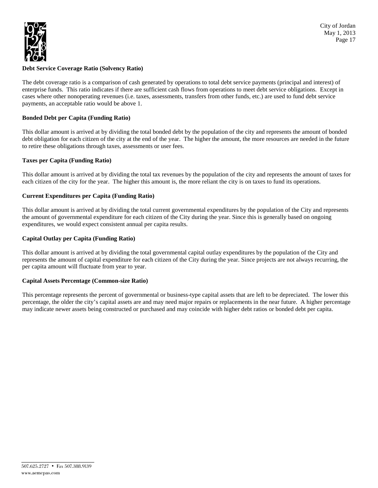

# **Debt Service Coverage Ratio (Solvency Ratio)**

The debt coverage ratio is a comparison of cash generated by operations to total debt service payments (principal and interest) of enterprise funds. This ratio indicates if there are sufficient cash flows from operations to meet debt service obligations. Except in cases where other nonoperating revenues (i.e. taxes, assessments, transfers from other funds, etc.) are used to fund debt service payments, an acceptable ratio would be above 1.

### **Bonded Debt per Capita (Funding Ratio)**

This dollar amount is arrived at by dividing the total bonded debt by the population of the city and represents the amount of bonded debt obligation for each citizen of the city at the end of the year. The higher the amount, the more resources are needed in the future to retire these obligations through taxes, assessments or user fees.

# **Taxes per Capita (Funding Ratio)**

This dollar amount is arrived at by dividing the total tax revenues by the population of the city and represents the amount of taxes for each citizen of the city for the year. The higher this amount is, the more reliant the city is on taxes to fund its operations.

### **Current Expenditures per Capita (Funding Ratio)**

This dollar amount is arrived at by dividing the total current governmental expenditures by the population of the City and represents the amount of governmental expenditure for each citizen of the City during the year. Since this is generally based on ongoing expenditures, we would expect consistent annual per capita results.

### **Capital Outlay per Capita (Funding Ratio)**

This dollar amount is arrived at by dividing the total governmental capital outlay expenditures by the population of the City and represents the amount of capital expenditure for each citizen of the City during the year. Since projects are not always recurring, the per capita amount will fluctuate from year to year.

### **Capital Assets Percentage (Common-size Ratio)**

This percentage represents the percent of governmental or business-type capital assets that are left to be depreciated. The lower this percentage, the older the city's capital assets are and may need major repairs or replacements in the near future. A higher percentage may indicate newer assets being constructed or purchased and may coincide with higher debt ratios or bonded debt per capita.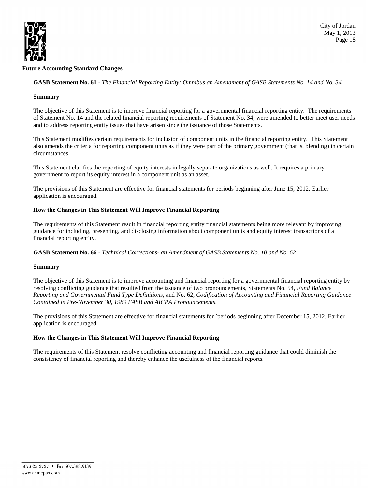

### **Future Accounting Standard Changes**

**GASB Statement No. 61** - *The Financial Reporting Entity: Omnibus an Amendment of GASB Statements No. 14 and No. 34*

### **Summary**

The objective of this Statement is to improve financial reporting for a governmental financial reporting entity. The requirements of [Statement No. 14](https://checkpoint.riag.com/app/main/docLinkNew?usid=2a9001178efe&DocID=iGASB%3A834.1930&SrcDocId=T0GASB%3A1120.1-1&feature=tcheckpoint&lastCpReqId=3551650) and the related financial reporting requirements of [Statement No. 34,](https://checkpoint.riag.com/app/main/docLinkNew?usid=2a9001178efe&DocID=iGASB%3A638.5809&SrcDocId=T0GASB%3A1120.1-1&feature=tcheckpoint&lastCpReqId=3551650) were amended to better meet user needs and to address reporting entity issues that have arisen since the issuance of those Statements.

This Statement modifies certain requirements for inclusion of component units in the financial reporting entity. This Statement also amends the criteria for reporting component units as if they were part of the primary government (that is, blending) in certain circumstances.

This Statement clarifies the reporting of equity interests in legally separate organizations as well. It requires a primary government to report its equity interest in a component unit as an asset.

The provisions of this Statement are effective for financial statements for periods beginning after June 15, 2012. Earlier application is encouraged.

### **How the Changes in This Statement Will Improve Financial Reporting**

The requirements of this Statement result in financial reporting entity financial statements being more relevant by improving guidance for including, presenting, and disclosing information about component units and equity interest transactions of a financial reporting entity.

**GASB Statement No. 66** - *Technical Corrections- an Amendment of GASB Statements No. 10 and No. 62*

#### **Summary**

The objective of this Statement is to improve accounting and financial reporting for a governmental financial reporting entity by resolving conflicting guidance that resulted from the issuance of two pronouncements, [Statements No.](https://checkpoint.riag.com/app/main/docLinkNew?DocID=iGASB%3A1049.1&SrcDocId=T0GASB%3A1121.3101-1&feature=ttoc&lastCpReqId=2204288) 54*, Fund Balance Reporting and Governmental Fund Type Definitions*, an[d No.](https://checkpoint.riag.com/app/main/docLinkNew?DocID=iGASB%3A1174.1&SrcDocId=T0GASB%3A1121.3101-1&feature=ttoc&lastCpReqId=2204288) 62, *Codification of Accounting and Financial Reporting Guidance Contained in Pre-November 30, 1989 FASB and AICPA Pronouncements*.

The provisions of this Statement are effective for financial statements for `periods beginning after December 15, 2012. Earlier application is encouraged.

### **How the Changes in This Statement Will Improve Financial Reporting**

The requirements of this Statement resolve conflicting accounting and financial reporting guidance that could diminish the consistency of financial reporting and thereby enhance the usefulness of the financial reports.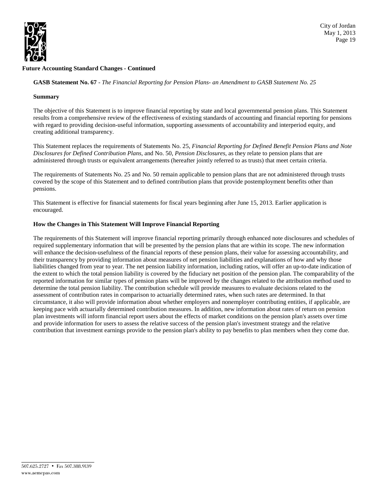

# **Future Accounting Standard Changes - Continued**

**GASB Statement No. 67** - *The Financial Reporting for Pension Plans- an Amendment to GASB Statement No. 25*

### **Summary**

The objective of this Statement is to improve financial reporting by state and local governmental pension plans. This Statement results from a comprehensive review of the effectiveness of existing standards of accounting and financial reporting for pensions with regard to providing decision-useful information, supporting assessments of accountability and interperiod equity, and creating additional transparency.

This Statement replaces the requirements of Statements No. 25, *Financial Reporting for Defined Benefit Pension Plans and Note Disclosures for Defined Contribution Plans*, and No. 50, *Pension Disclosures*, as they relate to pension plans that are administered through trusts or equivalent arrangements (hereafter jointly referred to as trusts) that meet certain criteria.

The requirements of Statements No. 25 and No. 50 remain applicable to pension plans that are not administered through trusts covered by the scope of this Statement and to defined contribution plans that provide postemployment benefits other than pensions.

This Statement is effective for financial statements for fiscal years beginning after June 15, 2013. Earlier application is encouraged.

### **How the Changes in This Statement Will Improve Financial Reporting**

The requirements of this Statement will improve financial reporting primarily through enhanced note disclosures and schedules of required supplementary information that will be presented by the pension plans that are within its scope. The new information will enhance the decision-usefulness of the financial reports of these pension plans, their value for assessing accountability, and their transparency by providing information about measures of net pension liabilities and explanations of how and why those liabilities changed from year to year. The net pension liability information, including ratios, will offer an up-to-date indication of the extent to which the total pension liability is covered by the fiduciary net position of the pension plan. The comparability of the reported information for similar types of pension plans will be improved by the changes related to the attribution method used to determine the total pension liability. The contribution schedule will provide measures to evaluate decisions related to the assessment of contribution rates in comparison to actuarially determined rates, when such rates are determined. In that circumstance, it also will provide information about whether employers and nonemployer contributing entities, if applicable, are keeping pace with actuarially determined contribution measures. In addition, new information about rates of return on pension plan investments will inform financial report users about the effects of market conditions on the pension plan's assets over time and provide information for users to assess the relative success of the pension plan's investment strategy and the relative contribution that investment earnings provide to the pension plan's ability to pay benefits to plan members when they come due.